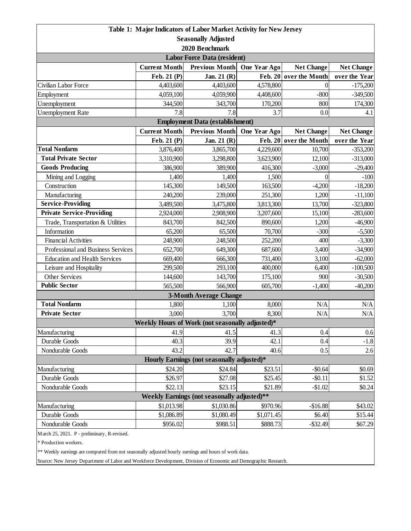| Table 1: Major Indicators of Labor Market Activity for New Jersey |                      |                                                 |                |                   |                   |  |  |  |
|-------------------------------------------------------------------|----------------------|-------------------------------------------------|----------------|-------------------|-------------------|--|--|--|
| <b>Seasonally Adjusted</b>                                        |                      |                                                 |                |                   |                   |  |  |  |
| 2020 Benchmark                                                    |                      |                                                 |                |                   |                   |  |  |  |
| <b>Labor Force Data (resident)</b>                                |                      |                                                 |                |                   |                   |  |  |  |
|                                                                   | <b>Current Month</b> | <b>Previous Month</b>                           | One Year Ago   | <b>Net Change</b> | <b>Net Change</b> |  |  |  |
|                                                                   | Feb. 21 (P)          | Jan. 21 (R)                                     | <b>Feb. 20</b> | over the Month    | over the Year     |  |  |  |
| Civilian Labor Force                                              | 4,403,600            | 4,403,600                                       | 4,578,800      | 0                 | $-175,200$        |  |  |  |
| Employment                                                        | 4,059,100            | 4,059,900                                       | 4,408,600      | $-800$            | $-349,500$        |  |  |  |
| Unemployment                                                      | 344,500              | 343,700                                         | 170,200        | 800               | 174,300           |  |  |  |
| <b>Unemployment Rate</b>                                          | 7.8                  | 7.8                                             | 3.7            | 0.0               | 4.1               |  |  |  |
| <b>Employment Data (establishment)</b>                            |                      |                                                 |                |                   |                   |  |  |  |
|                                                                   | <b>Current Month</b> | Previous Month One Year Ago                     |                | <b>Net Change</b> | <b>Net Change</b> |  |  |  |
|                                                                   | Feb. 21 (P)          | Jan. 21 (R)                                     | <b>Feb. 20</b> | over the Month    | over the Year     |  |  |  |
| <b>Total Nonfarm</b>                                              | 3,876,400            | 3,865,700                                       | 4,229,600      | 10,700            | $-353,200$        |  |  |  |
| <b>Total Private Sector</b>                                       | 3,310,900            | 3,298,800                                       | 3,623,900      | 12,100            | $-313,000$        |  |  |  |
| <b>Goods Producing</b>                                            | 386,900              | 389,900                                         | 416,300        | $-3,000$          | $-29,400$         |  |  |  |
| Mining and Logging                                                | 1,400                | 1,400                                           | 1,500          | $\overline{0}$    | $-100$            |  |  |  |
| Construction                                                      | 145,300              | 149,500                                         | 163,500        | $-4,200$          | $-18,200$         |  |  |  |
| Manufacturing                                                     | 240,200              | 239,000                                         | 251,300        | 1,200             | $-11,100$         |  |  |  |
| <b>Service-Providing</b>                                          | 3,489,500            | 3,475,800                                       | 3,813,300      | 13,700            | $-323,800$        |  |  |  |
| <b>Private Service-Providing</b>                                  | 2,924,000            | 2,908,900                                       | 3,207,600      | 15,100            | $-283,600$        |  |  |  |
| Trade, Transportation & Utilities                                 | 843,700              | 842,500                                         | 890,600        | 1,200             | $-46,900$         |  |  |  |
| Information                                                       | 65,200               | 65,500                                          | 70,700         | $-300$            | $-5,500$          |  |  |  |
| <b>Financial Activities</b>                                       | 248,900              | 248,500                                         | 252,200        | 400               | $-3,300$          |  |  |  |
| Professional and Business Services                                | 652,700              | 649,300                                         | 687,600        | 3,400             | $-34,900$         |  |  |  |
| <b>Education and Health Services</b>                              | 669,400              | 666,300                                         | 731,400        | 3,100             | $-62,000$         |  |  |  |
| Leisure and Hospitality                                           | 299,500              | 293,100                                         | 400,000        | 6,400             | $-100,500$        |  |  |  |
| Other Services                                                    | 144,600              | 143,700                                         | 175,100        | 900               | $-30,500$         |  |  |  |
| <b>Public Sector</b>                                              | 565,500              | 566,900                                         | 605,700        | $-1,400$          | $-40,200$         |  |  |  |
|                                                                   |                      | <b>3-Month Average Change</b>                   |                |                   |                   |  |  |  |
| <b>Total Nonfarm</b>                                              | 1,800                | 1,100                                           | 8,000          | N/A               | N/A               |  |  |  |
| <b>Private Sector</b>                                             | 3,000                | 3,700                                           | 8,300          | N/A               | N/A               |  |  |  |
|                                                                   |                      | Weekly Hours of Work (not seasonally adjusted)* |                |                   |                   |  |  |  |
| Manufacturing                                                     | 41.9                 | 41.5                                            | 41.3           | 0.4               | 0.6               |  |  |  |
| Durable Goods                                                     | 40.3                 | 39.9                                            | 42.1           | 0.4               | $-1.8$            |  |  |  |
| Nondurable Goods                                                  | 43.2                 | 42.7                                            | 40.6           | 0.5               | 2.6               |  |  |  |
| Hourly Earnings (not seasonally adjusted)*                        |                      |                                                 |                |                   |                   |  |  |  |
| Manufacturing                                                     | \$24.20              | \$24.84                                         | \$23.51        | $-$0.64$          | \$0.69            |  |  |  |
| Durable Goods                                                     | \$26.97              | \$27.08                                         | \$25.45        | $-$ \$0.11        | \$1.52            |  |  |  |
| Nondurable Goods                                                  | \$22.13              | \$23.15                                         | \$21.89        | $-$1.02$          | \$0.24            |  |  |  |
| Weekly Earnings (not seasonally adjusted)**                       |                      |                                                 |                |                   |                   |  |  |  |
| Manufacturing                                                     | \$1,013.98           | \$1,030.86                                      | \$970.96       | $-$16.88$         | \$43.02           |  |  |  |
| Durable Goods                                                     | \$1,086.89           | \$1,080.49                                      | \$1,071.45     | \$6.40            | \$15.44           |  |  |  |
| Nondurable Goods                                                  | \$956.02             | \$988.51                                        | \$888.73       | $-$ \$32.49       | \$67.29           |  |  |  |
| March 25, 2021. P - preliminary, R-revised.                       |                      |                                                 |                |                   |                   |  |  |  |

\* Production workers.

\*\* Weekly earnings are computed from not seasonally adjusted hourly earnings and hours of work data.

Source: New Jersey Department of Labor and Workforce Development, Division of Economic and Demographic Research.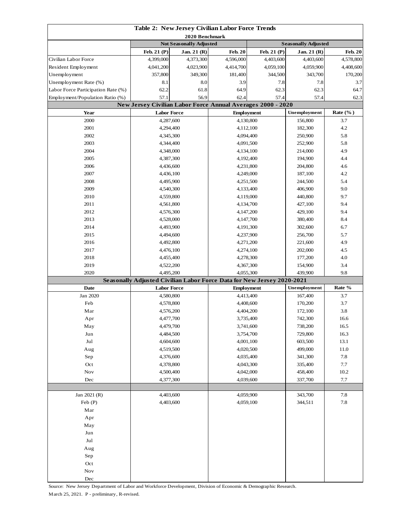| Table 2: New Jersey Civilian Labor Force Trends |                        |                                |                                                                                  |                            |                    |                |  |
|-------------------------------------------------|------------------------|--------------------------------|----------------------------------------------------------------------------------|----------------------------|--------------------|----------------|--|
| 2020 Benchmark                                  |                        |                                |                                                                                  |                            |                    |                |  |
|                                                 |                        | <b>Not Seasonally Adjusted</b> |                                                                                  | <b>Seasonally Adjusted</b> |                    |                |  |
|                                                 | Feb. 21 (P)            | Jan. 21 (R)                    | <b>Feb. 20</b>                                                                   | Feb. 21 (P)                | Jan. 21 (R)        | <b>Feb. 20</b> |  |
| Civilian Labor Force                            | 4,399,000              | 4,373,300                      | 4,596,000                                                                        | 4,403,600                  | 4,403,600          | 4,578,800      |  |
| Resident Employment                             | 4,041,200              | 4,023,900                      | 4,414,700                                                                        | 4,059,100                  | 4,059,900          | 4,408,600      |  |
| Unemployment                                    | 357,800                | 349,300                        | 181,400                                                                          | 344,500                    | 343,700            | 170,200        |  |
| Unemployment Rate (%)                           | 8.1                    | 8.0                            | 3.9                                                                              | 7.8                        | 7.8                | 3.7            |  |
| Labor Force Participation Rate (%)              | 62.2                   | 61.8                           | 64.9                                                                             | 62.3                       | 62.3               | 64.7           |  |
| Employment/Population Ratio (%)                 | 57.1                   | 56.9                           | 62.4<br>57.4                                                                     |                            | 57.4<br>62.3       |                |  |
|                                                 |                        |                                | New Jersey Civilian Labor Force Annual Averages 2000 - 2020<br><b>Employment</b> |                            |                    |                |  |
| Year                                            | <b>Labor Force</b>     |                                |                                                                                  |                            | Unemployment       | Rate $(\%$ )   |  |
| 2000                                            | 4,287,600<br>4,294,400 |                                | 4,130,800                                                                        |                            | 156,800            | 3.7            |  |
| 2001<br>2002                                    |                        | 4,345,300                      | 4,112,100                                                                        |                            | 182,300<br>250,900 | 4.2<br>5.8     |  |
| 2003                                            |                        |                                |                                                                                  | 4,094,400                  |                    | 5.8            |  |
| 2004                                            | 4,344,400              |                                | 4,091,500                                                                        |                            | 252,900<br>214,000 | 4.9            |  |
| 2005                                            | 4,348,000<br>4,387,300 |                                | 4,134,100<br>4,192,400                                                           |                            | 194,900            | 4.4            |  |
| 2006                                            |                        | 4,436,600                      | 4,231,800                                                                        |                            | 204,800            | 4.6            |  |
| 2007                                            |                        | 4,436,100                      | 4,249,000                                                                        |                            | 187,100            | 4.2            |  |
| 2008                                            |                        | 4,495,900                      | 4,251,500                                                                        |                            | 244,500            | 5.4            |  |
| 2009                                            |                        | 4,540,300                      | 4,133,400                                                                        |                            | 406,900            | 9.0            |  |
| 2010                                            |                        | 4,559,800                      | 4,119,000                                                                        |                            | 440,800            | 9.7            |  |
| 2011                                            |                        | 4,561,800                      | 4,134,700                                                                        |                            | 427,100            | 9.4            |  |
| 2012                                            |                        |                                |                                                                                  |                            | 429,100            | 9.4            |  |
| 2013                                            | 4,576,300<br>4,528,000 |                                | 4,147,200<br>4,147,700                                                           |                            | 380,400            | 8.4            |  |
| 2014                                            |                        | 4,493,900                      |                                                                                  | 4,191,300                  |                    | 6.7            |  |
| 2015                                            |                        | 4,494,600                      | 4,237,900                                                                        |                            | 302,600<br>256,700 | 5.7            |  |
| 2016                                            |                        | 4,492,800                      | 4,271,200                                                                        |                            | 221,600            | 4.9            |  |
| 2017                                            | 4,476,100              |                                | 4,274,100                                                                        |                            | 202,000            | 4.5            |  |
| 2018                                            |                        | 4,455,400                      | 4,278,300                                                                        |                            | 177,200            | 4.0            |  |
| 2019                                            |                        | 4,522,200                      | 4,367,300                                                                        |                            | 154,900            | 3.4            |  |
| 2020                                            |                        | 4,495,200                      | 4,055,300                                                                        |                            | 439,900            | 9.8            |  |
|                                                 |                        |                                | Seasonally Adjusted Civilian Labor Force Data for New Jersey 2020-2021           |                            |                    |                |  |
| <b>Date</b>                                     | <b>Labor Force</b>     |                                | <b>Employment</b>                                                                |                            | Unemployment       | Rate %         |  |
| Jan 2020                                        |                        | 4,580,800                      | 4,413,400                                                                        |                            | 167,400            | 3.7            |  |
| Feb                                             |                        | 4,578,800                      | 4,408,600                                                                        |                            | 170,200            | 3.7            |  |
| Mar                                             | 4,576,200              |                                | 4,404,200                                                                        |                            | 172,100            | 3.8            |  |
| Apr                                             | 4,477,700              |                                | 3,735,400                                                                        |                            | 742,300            | 16.6           |  |
| May                                             | 4,479,700              |                                | 3,741,600                                                                        |                            | 738,200            | 16.5           |  |
| Jun                                             | 4,484,500              |                                | 3,754,700                                                                        |                            | 729,800            | 16.3           |  |
| Jul                                             | 4,604,600              |                                | 4,001,100                                                                        |                            | 603,500            | 13.1           |  |
| Aug                                             | 4,519,500              |                                | 4,020,500                                                                        |                            | 499,000            | $11.0\,$       |  |
| Sep                                             | 4,376,600              |                                | 4,035,400                                                                        |                            | 341,300            | $7.8\,$        |  |
| Oct                                             | 4,378,800              |                                | 4,043,300                                                                        |                            | 335,400            | 7.7            |  |
| Nov                                             | 4,500,400              |                                | 4,042,000                                                                        |                            | 458,400            | $10.2\,$       |  |
| Dec                                             |                        | 4,377,300                      | 4,039,600                                                                        |                            | 337,700            | 7.7            |  |
| Jan 2021 (R)                                    |                        |                                |                                                                                  |                            | 343,700            | 7.8            |  |
| Feb $(P)$                                       | 4,403,600<br>4,403,600 |                                | 4,059,900<br>4,059,100                                                           |                            | 344,511            | $7.8\,$        |  |
| Mar                                             |                        |                                |                                                                                  |                            |                    |                |  |
| Apr                                             |                        |                                |                                                                                  |                            |                    |                |  |
| May                                             |                        |                                |                                                                                  |                            |                    |                |  |
| Jun                                             |                        |                                |                                                                                  |                            |                    |                |  |
| Jul                                             |                        |                                |                                                                                  |                            |                    |                |  |
| Aug                                             |                        |                                |                                                                                  |                            |                    |                |  |
| Sep                                             |                        |                                |                                                                                  |                            |                    |                |  |
| Oct                                             |                        |                                |                                                                                  |                            |                    |                |  |
| Nov                                             |                        |                                |                                                                                  |                            |                    |                |  |
| $\rm Dec$                                       |                        |                                |                                                                                  |                            |                    |                |  |

Source: New Jersey Department of Labor and Workforce Development, Division of Economic & Demographic Research. March 25, 2021. P - preliminary, R-revised.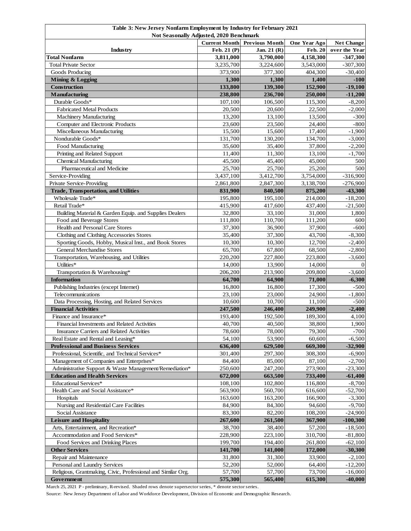| Table 3: New Jersey Nonfarm Employment by Industry for February 2021                                     |                    |                    |                    |                                    |  |
|----------------------------------------------------------------------------------------------------------|--------------------|--------------------|--------------------|------------------------------------|--|
| Not Seasonally Adjusted, 2020 Benchmark<br><b>Previous Month</b><br><b>Current Month</b><br>One Year Ago |                    |                    |                    |                                    |  |
| Industry                                                                                                 | Feb. 21 (P)        | Jan. 21 (R)        | <b>Feb. 20</b>     | <b>Net Change</b><br>over the Year |  |
| <b>Total Nonfarm</b>                                                                                     | 3,811,000          | 3,790,000          | 4,158,300          | $-347,300$                         |  |
| <b>Total Private Sector</b>                                                                              | 3,235,700          | 3,224,600          | 3,543,000          | $-307,300$                         |  |
| Goods Producing                                                                                          | 373,900            | 377,300            | 404,300            | $-30,400$                          |  |
| <b>Mining &amp; Logging</b>                                                                              | 1,300              | 1,300              | 1,400              | $-100$                             |  |
| Construction                                                                                             | 133,800            | 139,300            | 152,900            | $-19,100$                          |  |
| Manufacturing                                                                                            | 238,800            | 236,700            | 250,000            | $-11,200$                          |  |
| Durable Goods*                                                                                           | 107,100            | 106,500            | 115,300            | $-8,200$                           |  |
| <b>Fabricated Metal Products</b>                                                                         | 20,500             | 20,600             | 22,500             | $-2,000$                           |  |
| Machinery Manufacturing                                                                                  | 13,200             | 13,100             | 13,500             | $-300$                             |  |
| Computer and Electronic Products                                                                         | 23,600             | 23,500             | 24,400             | $-800$                             |  |
| Miscellaneous Manufacturing                                                                              | 15,500             | 15,600             | 17,400             | $-1,900$                           |  |
| Nondurable Goods*                                                                                        | 131,700            | 130,200            | 134,700            | $-3,000$                           |  |
| Food Manufacturing                                                                                       | 35,600             | 35,400             | 37,800             | $-2,200$                           |  |
| Printing and Related Support                                                                             | 11,400             | 11,300             | 13,100             | $-1,700$                           |  |
| <b>Chemical Manufacturing</b>                                                                            | 45,500             | 45,400             | 45,000             | 500                                |  |
| Pharmaceutical and Medicine                                                                              | 25,700             | 25,700             | 25,200             | 500                                |  |
| Service-Providing                                                                                        | 3,437,100          | 3,412,700          | 3,754,000          | $-316,900$                         |  |
| Private Service-Providing                                                                                | 2,861,800          | 2,847,300          | 3,138,700          | $-276,900$                         |  |
| <b>Trade, Transportation, and Utilities</b>                                                              | 831,900            | 840,500            | 875,200            | $-43,300$                          |  |
| Wholesale Trade*                                                                                         | 195,800            | 195,100            | 214,000            | $-18,200$                          |  |
| Retail Trade*                                                                                            | 415,900            | 417,600            | 437,400            | $-21,500$                          |  |
| Building Material & Garden Equip. and Supplies Dealers                                                   | 32,800             | 33,100             | 31,000             | 1,800                              |  |
| Food and Beverage Stores                                                                                 | 111,800            | 110,700            | 111,200            | 600                                |  |
| Health and Personal Care Stores                                                                          | 37,300             | 36,900             | 37,900             | $-600$                             |  |
| Clothing and Clothing Accessories Stores                                                                 | 35,400             | 37,300             | 43,700             | $-8,300$                           |  |
| Sporting Goods, Hobby, Musical Inst., and Book Stores<br>General Merchandise Stores                      | 10,300<br>65,700   | 10,300             | 12,700             | $-2,400$                           |  |
| Transportation, Warehousing, and Utilities                                                               | 220,200            | 67,800<br>227,800  | 68,500<br>223,800  | $-2,800$<br>$-3,600$               |  |
| Utilities*                                                                                               | 14,000             | 13,900             | 14,000             | $\mathbf{0}$                       |  |
| Transportation & Warehousing*                                                                            | 206,200            | 213,900            | 209,800            | $-3,600$                           |  |
| <b>Information</b>                                                                                       | 64,700             | 64,900             | 71,000             | $-6,300$                           |  |
| Publishing Industries (except Internet)                                                                  | 16,800             | 16,800             | 17,300             | $-500$                             |  |
| Telecommunications                                                                                       | 23,100             | 23,000             | 24,900             | $-1,800$                           |  |
| Data Processing, Hosting, and Related Services                                                           | 10,600             | 10,700             | 11,100             | $-500$                             |  |
| <b>Financial Activities</b>                                                                              | 247,500            | 246,400            | 249,900            | $-2,400$                           |  |
| Finance and Insurance*                                                                                   | 193,400            | 192,500            | 189,300            | 4,100                              |  |
| Financial Investments and Related Activities                                                             | 40,700             | 40,500             | 38,800             | 1,900                              |  |
| Insurance Carriers and Related Activities                                                                | 78,600             | 78,000             | 79,300             | $-700$                             |  |
| Real Estate and Rental and Leasing*                                                                      | 54,100             | 53,900             | 60,600             | $-6,500$                           |  |
| <b>Professional and Business Services</b>                                                                | 636,400            | 629,500            | 669,300            | $-32,900$                          |  |
| Professional, Scientific, and Technical Services*                                                        | 301,400            | 297,300            | 308,300            | $-6,900$                           |  |
| Management of Companies and Enterprises*                                                                 | 84,400             | 85,000             | 87,100             | $-2,700$                           |  |
| Administrative Support & Waste Management/Remediation*                                                   | 250,600            | 247,200            | 273,900            | $-23,300$                          |  |
| <b>Education and Health Services</b><br>Educational Services*                                            | 672,000<br>108,100 | 663,500            | 733,400            | $-61,400$                          |  |
| Health Care and Social Assistance*                                                                       | 563,900            | 102,800<br>560,700 | 116,800<br>616,600 | $-8,700$<br>$-52,700$              |  |
| Hospitals                                                                                                | 163,600            | 163,200            | 166,900            | $-3,300$                           |  |
| Nursing and Residential Care Facilities                                                                  | 84,900             | 84,300             | 94,600             | $-9,700$                           |  |
| Social Assistance                                                                                        | 83,300             | 82,200             | 108,200            | $-24,900$                          |  |
| <b>Leisure and Hospitality</b>                                                                           | 267,600            | 261,500            | 367,900            | $-100,300$                         |  |
| Arts, Entertainment, and Recreation*                                                                     | 38,700             | 38,400             | 57,200             | $-18,500$                          |  |
| Accommodation and Food Services*                                                                         | 228,900            | 223,100            | 310,700            | $-81,800$                          |  |
| Food Services and Drinking Places                                                                        | 199,700            | 194,400            | 261,800            | $-62,100$                          |  |
| <b>Other Services</b>                                                                                    | 141,700            | 141,000            | 172,000            | $-30,300$                          |  |
| Repair and Maintenance                                                                                   | 31,800             | 31,300             | 33,900             | $-2,100$                           |  |
| Personal and Laundry Services                                                                            | 52,200             | 52,000             | 64,400             | $-12,200$                          |  |
| Religious, Grantmaking, Civic, Professional and Similar Org.                                             | 57,700             | 57,700             | 73,700             | $-16,000$                          |  |
| Government                                                                                               | 575,300            | 565,400            | 615,300            | $-40,000$                          |  |

March 25, 2021 P - preliminary, R-revised. Shaded rows denote supersector series, \* denote sector series.

Source: New Jersey Department of Labor and Workforce Development, Division of Economic and Demographic Research.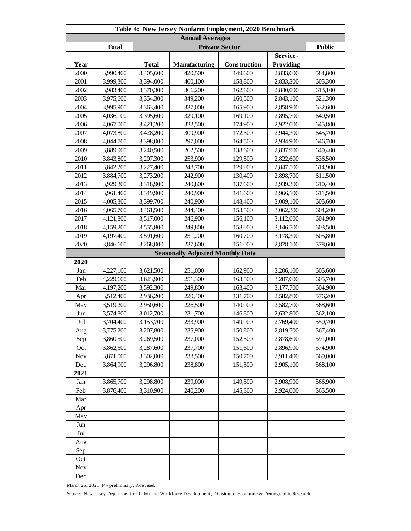| Table 4: New Jersey Nonfarm Employment, 2020 Benchmark |              |              |                                         |              |                  |         |  |
|--------------------------------------------------------|--------------|--------------|-----------------------------------------|--------------|------------------|---------|--|
| <b>Annual Averages</b>                                 |              |              |                                         |              |                  |         |  |
|                                                        | <b>Total</b> |              | <b>Public</b>                           |              |                  |         |  |
|                                                        |              |              |                                         |              | Service-         |         |  |
| Year                                                   |              | <b>Total</b> | Manufacturing                           | Construction | <b>Providing</b> |         |  |
| 2000                                                   | 3,990,400    | 3,405,600    | 420,500                                 | 149,600      | 2,833,600        | 584,800 |  |
| 2001                                                   | 3,999,300    | 3,394,000    | 400,100                                 | 158,800      | 2,833,300        | 605,300 |  |
| 2002                                                   | 3,983,400    | 3,370,300    | 366,200                                 | 162,600      | 2,840,000        | 613,100 |  |
| 2003                                                   | 3,975,600    | 3,354,300    | 349,200                                 | 160,500      | 2,843,100        | 621,300 |  |
| 2004                                                   | 3,995,900    | 3,363,400    | 337,000                                 | 165,900      | 2,858,900        | 632,600 |  |
| 2005                                                   | 4,036,100    | 3,395,600    | 329,100                                 | 169,100      | 2,895,700        | 640,500 |  |
| 2006                                                   | 4,067,000    | 3,421,200    | 322,500                                 | 174,900      | 2,922,000        | 645,800 |  |
| 2007                                                   | 4,073,800    | 3,428,200    | 309,900                                 | 172,300      | 2,944,300        | 645,700 |  |
| 2008                                                   | 4,044,700    | 3,398,000    | 297,000                                 | 164,500      | 2,934,900        | 646,700 |  |
| 2009                                                   | 3,889,900    | 3,240,500    | 262,500                                 | 138,600      | 2,837,900        | 649,400 |  |
| 2010                                                   | 3,843,800    | 3,207,300    | 253,900                                 | 129,500      | 2,822,600        | 636,500 |  |
| 2011                                                   | 3,842,200    | 3,227,400    | 248,700                                 | 129,900      | 2,847,500        | 614,900 |  |
| 2012                                                   | 3,884,700    | 3,273,200    | 242,900                                 | 130,400      | 2,898,700        | 611,500 |  |
| 2013                                                   | 3,929,300    | 3,318,900    | 240,800                                 | 137,600      | 2,939,300        | 610,400 |  |
| 2014                                                   | 3,961,400    | 3,349,900    | 240,900                                 | 141,600      | 2,966,100        | 611,500 |  |
| 2015                                                   | 4,005,300    | 3,399,700    | 240,900                                 | 148,400      | 3,009,100        | 605,600 |  |
| 2016                                                   | 4,065,700    | 3,461,500    | 244,400                                 | 153,500      | 3,062,300        | 604,200 |  |
| 2017                                                   | 4,121,800    | 3,517,000    | 246,900                                 | 156,100      | 3,112,600        | 604,900 |  |
| 2018                                                   | 4,159,200    | 3,555,800    | 249,800                                 | 158,000      | 3,146,700        | 603,500 |  |
| 2019                                                   | 4,197,400    | 3,591,600    | 251,200                                 | 160,700      | 3,178,300        | 605,800 |  |
| 2020                                                   | 3,846,600    | 3,268,000    | 237,600                                 | 151,000      | 2,878,100        | 578,600 |  |
|                                                        |              |              | <b>Seasonally Adjusted Monthly Data</b> |              |                  |         |  |
| 2020                                                   |              |              |                                         |              |                  |         |  |
| Jan                                                    | 4,227,100    | 3,621,500    | 251,000                                 | 162,900      | 3,206,100        | 605,600 |  |
| Feb                                                    | 4,229,600    | 3,623,900    | 251,300                                 | 163,500      | 3,207,600        | 605,700 |  |
| Mar                                                    | 4,197,200    | 3,592,300    | 249,800                                 | 163,400      | 3,177,700        | 604,900 |  |
| Apr                                                    | 3,512,400    | 2,936,200    | 220,400                                 | 131,700      | 2,582,800        | 576,200 |  |
| May                                                    | 3,519,200    | 2,950,600    | 226,500                                 | 140,000      | 2,582,700        | 568,600 |  |
| Jun                                                    | 3,574,800    | 3,012,700    | 231,700                                 | 146,800      | 2,632,800        | 562,100 |  |
| Jul                                                    | 3,704,400    | 3,153,700    | 233,900                                 | 149,000      | 2,769,400        | 550,700 |  |
| Aug                                                    | 3,775,200    | 3,207,800    | 235,900                                 | 150,800      | 2,819,700        | 567,400 |  |
| Sep                                                    | 3,860,500    | 3,269,500    | 237,000                                 | 152,500      | 2,878,600        | 591,000 |  |
| Oct                                                    | 3,862,500    | 3,287,600    | 237,700                                 | 151,600      | 2,896,900        | 574,900 |  |
| Nov                                                    | 3,871,000    | 3,302,000    | 238,500                                 | 150,700      | 2,911,400        | 569,000 |  |
| Dec                                                    | 3,864,900    | 3,296,800    | 238,800                                 | 151,500      | 2,905,100        | 568,100 |  |
| 2021                                                   |              |              |                                         |              |                  |         |  |
| Jan                                                    | 3,865,700    | 3,298,800    | 239,000                                 | 149,500      | 2,908,900        | 566,900 |  |
| Feb                                                    | 3,876,400    | 3,310,900    | 240,200                                 | 145,300      | 2,924,000        | 565,500 |  |
| Mar                                                    |              |              |                                         |              |                  |         |  |
| Apr                                                    |              |              |                                         |              |                  |         |  |
| May                                                    |              |              |                                         |              |                  |         |  |
| Jun                                                    |              |              |                                         |              |                  |         |  |
| Jul                                                    |              |              |                                         |              |                  |         |  |
| Aug                                                    |              |              |                                         |              |                  |         |  |
| Sep                                                    |              |              |                                         |              |                  |         |  |
| Oct                                                    |              |              |                                         |              |                  |         |  |
| <b>Nov</b>                                             |              |              |                                         |              |                  |         |  |
| Dec                                                    |              |              |                                         |              |                  |         |  |

March 25, 2021 P - preliminary, R-revised.

Source: New Jersey Department of Labor and Workforce Development, Division of Economic & Demographic Research.